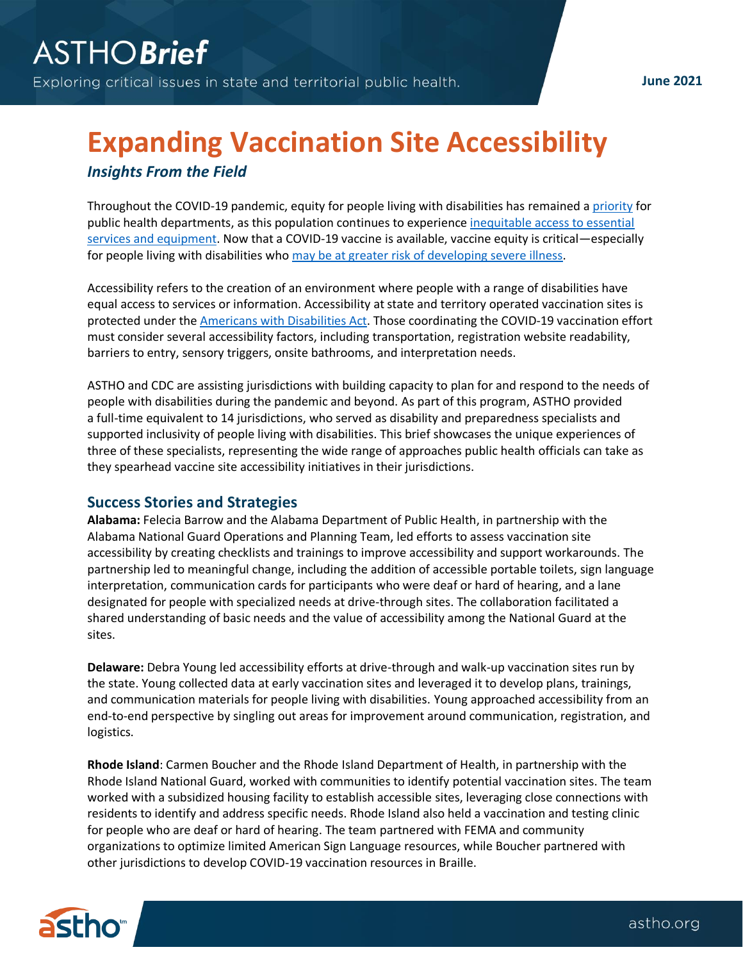**June 2021**

## **Expanding Vaccination Site Accessibility** *Insights From the Field*

Throughout the COVID-19 pandemic, equity for people living with disabilities has remained a [priority](https://www.who.int/publications/i/item/WHO-2019-nCoV-Disability-2020-1) for public health departments, as this population continues to experience [inequitable access to essential](https://www.ncbi.nlm.nih.gov/pmc/articles/PMC7471485/)  [services and equipment.](https://www.ncbi.nlm.nih.gov/pmc/articles/PMC7471485/) Now that a COVID-19 vaccine is available, vaccine equity is critical—especially for people living with disabilities wh[o may be at greater risk of developing severe illness.](https://www.cdc.gov/coronavirus/2019-ncov/need-extra-precautions/people-with-disabilities.html)

Accessibility refers to the creation of an environment where people with a range of disabilities have equal access to services or information. Accessibility at state and territory operated vaccination sites is protected under the Americans [with Disabilities Act.](https://www.ada.gov/pubs/adastatute08.htm#12102) Those coordinating the COVID-19 vaccination effort must consider several accessibility factors, including transportation, registration website readability, barriers to entry, sensory triggers, onsite bathrooms, and interpretation needs.

ASTHO and CDC are assisting jurisdictions with building capacity to plan for and respond to the needs of people with disabilities during the pandemic and beyond. As part of this program, ASTHO provided a full-time equivalent to 14 jurisdictions, who served as disability and preparedness specialists and supported inclusivity of people living with disabilities. This brief showcases the unique experiences of three of these specialists, representing the wide range of approaches public health officials can take as they spearhead vaccine site accessibility initiatives in their jurisdictions.

## **Success Stories and Strategies**

**Alabama:** Felecia Barrow and the Alabama Department of Public Health, in partnership with the Alabama National Guard Operations and Planning Team, led efforts to assess vaccination site accessibility by creating checklists and trainings to improve accessibility and support workarounds. The partnership led to meaningful change, including the addition of accessible portable toilets, sign language interpretation, communication cards for participants who were deaf or hard of hearing, and a lane designated for people with specialized needs at drive-through sites. The collaboration facilitated a shared understanding of basic needs and the value of accessibility among the National Guard at the sites.

**Delaware:** Debra Young led accessibility efforts at drive-through and walk-up vaccination sites run by the state. Young collected data at early vaccination sites and leveraged it to develop plans, trainings, and communication materials for people living with disabilities. Young approached accessibility from an end-to-end perspective by singling out areas for improvement around communication, registration, and logistics.

**Rhode Island**: Carmen Boucher and the Rhode Island Department of Health, in partnership with the Rhode Island National Guard, worked with communities to identify potential vaccination sites. The team worked with a subsidized housing facility to establish accessible sites, leveraging close connections with residents to identify and address specific needs. Rhode Island also held a vaccination and testing clinic for people who are deaf or hard of hearing. The team partnered with FEMA and community organizations to optimize limited American Sign Language resources, while Boucher partnered with other jurisdictions to develop COVID-19 vaccination resources in Braille.